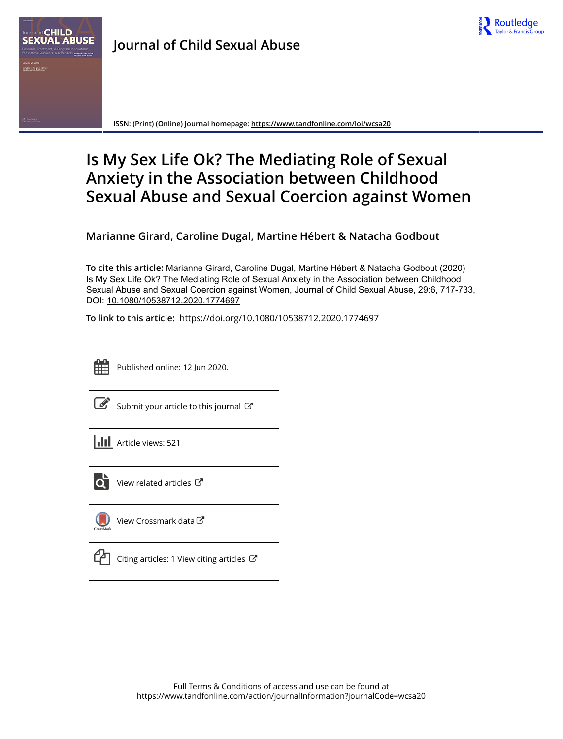

**ISSN: (Print) (Online) Journal homepage:<https://www.tandfonline.com/loi/wcsa20>**

# **Is My Sex Life Ok? The Mediating Role of Sexual Anxiety in the Association between Childhood Sexual Abuse and Sexual Coercion against Women**

**Marianne Girard, Caroline Dugal, Martine Hébert & Natacha Godbout**

**To cite this article:** Marianne Girard, Caroline Dugal, Martine Hébert & Natacha Godbout (2020) Is My Sex Life Ok? The Mediating Role of Sexual Anxiety in the Association between Childhood Sexual Abuse and Sexual Coercion against Women, Journal of Child Sexual Abuse, 29:6, 717-733, DOI: [10.1080/10538712.2020.1774697](https://www.tandfonline.com/action/showCitFormats?doi=10.1080/10538712.2020.1774697)

**To link to this article:** <https://doi.org/10.1080/10538712.2020.1774697>



Published online: 12 Jun 2020.

|--|

[Submit your article to this journal](https://www.tandfonline.com/action/authorSubmission?journalCode=wcsa20&show=instructions)  $\mathbb{Z}$ 





 $\overrightarrow{Q}$  [View related articles](https://www.tandfonline.com/doi/mlt/10.1080/10538712.2020.1774697)  $\overrightarrow{C}$ 



[View Crossmark data](http://crossmark.crossref.org/dialog/?doi=10.1080/10538712.2020.1774697&domain=pdf&date_stamp=2020-06-12)



[Citing articles: 1 View citing articles](https://www.tandfonline.com/doi/citedby/10.1080/10538712.2020.1774697#tabModule)  $\mathbb{Z}$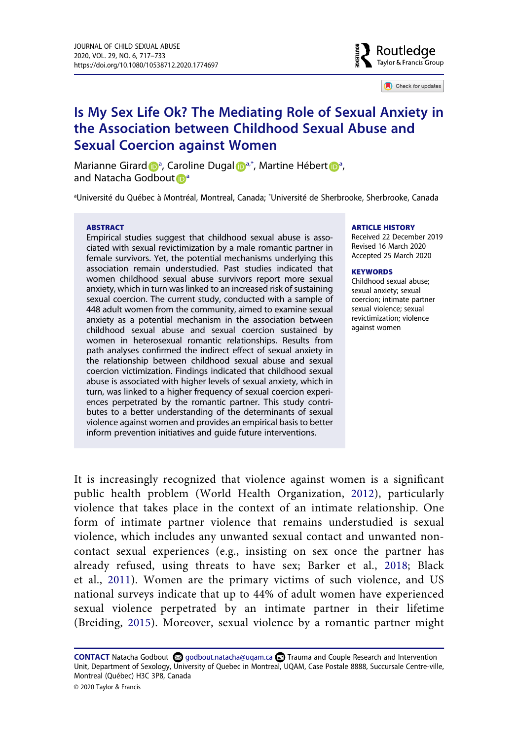

Check for updates

# **Is My Sex Life Ok? The Mediating Role of Sexual Anxiety in the Association between Childhood Sexual Abuse and Sexual Coercion against Women**

Marianne Girar[d](http://orcid.org/0000-0003-4728-2749) D<sup>[a](#page-1-0)</sup>, Caro[l](http://orcid.org/0000-0001-9488-6962)ine Dugal D<sup>a,\*</sup>, Mar[t](http://orcid.org/0000-0002-4531-5124)ine Hébert D<sup>a</sup>, and Na[t](http://orcid.org/0000-0002-2997-5237)[a](#page-1-0)cha Godbout **D**<sup>a</sup>

<span id="page-1-0"></span>a Université du Québec à Montréal, Montreal, Canada; \* Université de Sherbrooke, Sherbrooke, Canada

#### **ABSTRACT**

Empirical studies suggest that childhood sexual abuse is associated with sexual revictimization by a male romantic partner in female survivors. Yet, the potential mechanisms underlying this association remain understudied. Past studies indicated that women childhood sexual abuse survivors report more sexual anxiety, which in turn was linked to an increased risk of sustaining sexual coercion. The current study, conducted with a sample of 448 adult women from the community, aimed to examine sexual anxiety as a potential mechanism in the association between childhood sexual abuse and sexual coercion sustained by women in heterosexual romantic relationships. Results from path analyses confirmed the indirect effect of sexual anxiety in the relationship between childhood sexual abuse and sexual coercion victimization. Findings indicated that childhood sexual abuse is associated with higher levels of sexual anxiety, which in turn, was linked to a higher frequency of sexual coercion experiences perpetrated by the romantic partner. This study contributes to a better understanding of the determinants of sexual violence against women and provides an empirical basis to better inform prevention initiatives and guide future interventions.

#### **ARTICLE HISTORY**

Received 22 December 2019 Revised 16 March 2020 Accepted 25 March 2020

#### **KEYWORDS**

Childhood sexual abuse; sexual anxiety; sexual coercion; intimate partner sexual violence; sexual revictimization; violence against women

<span id="page-1-4"></span><span id="page-1-1"></span>It is increasingly recognized that violence against women is a significant public health problem (World Health Organization, [2012](#page-17-0)), particularly violence that takes place in the context of an intimate relationship. One form of intimate partner violence that remains understudied is sexual violence, which includes any unwanted sexual contact and unwanted noncontact sexual experiences (e.g., insisting on sex once the partner has already refused, using threats to have sex; Barker et al., [2018;](#page-14-0) Black et al., [2011](#page-14-1)). Women are the primary victims of such violence, and US national surveys indicate that up to 44% of adult women have experienced sexual violence perpetrated by an intimate partner in their lifetime (Breiding, [2015\)](#page-14-2). Moreover, sexual violence by a romantic partner might

<span id="page-1-3"></span><span id="page-1-2"></span>CONTACT Natacha Godbout **۞** godbout.natacha@uqam.ca **۞** Trauma and Couple Research and Intervention Unit, Department of Sexology, University of Quebec in Montreal, UQAM, Case Postale 8888, Succursale Centre-ville, Montreal (Québec) H3C 3P8, Canada

© 2020 Taylor & Francis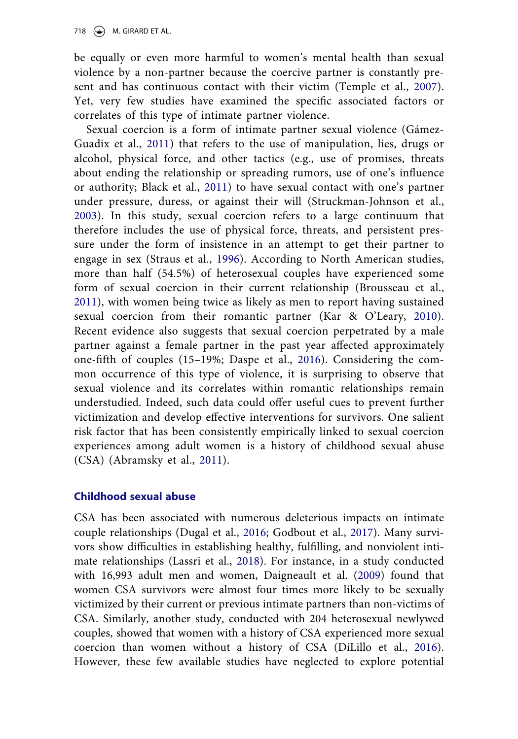<span id="page-2-11"></span>be equally or even more harmful to women's mental health than sexual violence by a non-partner because the coercive partner is constantly present and has continuous contact with their victim (Temple et al., [2007](#page-17-1)). Yet, very few studies have examined the specific associated factors or correlates of this type of intimate partner violence.

<span id="page-2-10"></span><span id="page-2-9"></span><span id="page-2-7"></span><span id="page-2-6"></span><span id="page-2-1"></span>Sexual coercion is a form of intimate partner sexual violence (Gámez-Guadix et al., [2011](#page-15-0)) that refers to the use of manipulation, lies, drugs or alcohol, physical force, and other tactics (e.g., use of promises, threats about ending the relationship or spreading rumors, use of one's influence or authority; Black et al., [2011](#page-14-1)) to have sexual contact with one's partner under pressure, duress, or against their will (Struckman-Johnson et al., [2003\)](#page-17-2). In this study, sexual coercion refers to a large continuum that therefore includes the use of physical force, threats, and persistent pressure under the form of insistence in an attempt to get their partner to engage in sex (Straus et al., [1996](#page-17-3)). According to North American studies, more than half (54.5%) of heterosexual couples have experienced some form of sexual coercion in their current relationship (Brousseau et al., [2011\)](#page-14-3), with women being twice as likely as men to report having sustained sexual coercion from their romantic partner (Kar & O'Leary, [2010](#page-16-0)). Recent evidence also suggests that sexual coercion perpetrated by a male partner against a female partner in the past year affected approximately one-fifth of couples (15–19%; Daspe et al., [2016](#page-15-1)). Considering the common occurrence of this type of violence, it is surprising to observe that sexual violence and its correlates within romantic relationships remain understudied. Indeed, such data could offer useful cues to prevent further victimization and develop effective interventions for survivors. One salient risk factor that has been consistently empirically linked to sexual coercion experiences among adult women is a history of childhood sexual abuse (CSA) (Abramsky et al., [2011\)](#page-14-4).

# <span id="page-2-3"></span><span id="page-2-0"></span>**Childhood sexual abuse**

<span id="page-2-8"></span><span id="page-2-5"></span><span id="page-2-4"></span><span id="page-2-2"></span>CSA has been associated with numerous deleterious impacts on intimate couple relationships (Dugal et al., [2016;](#page-15-2) Godbout et al., [2017](#page-15-3)). Many survivors show difficulties in establishing healthy, fulfilling, and nonviolent intimate relationships (Lassri et al., [2018\)](#page-16-1). For instance, in a study conducted with 16,993 adult men and women, Daigneault et al. ([2009](#page-15-4)) found that women CSA survivors were almost four times more likely to be sexually victimized by their current or previous intimate partners than non-victims of CSA. Similarly, another study, conducted with 204 heterosexual newlywed couples, showed that women with a history of CSA experienced more sexual coercion than women without a history of CSA (DiLillo et al., [2016](#page-15-5)). However, these few available studies have neglected to explore potential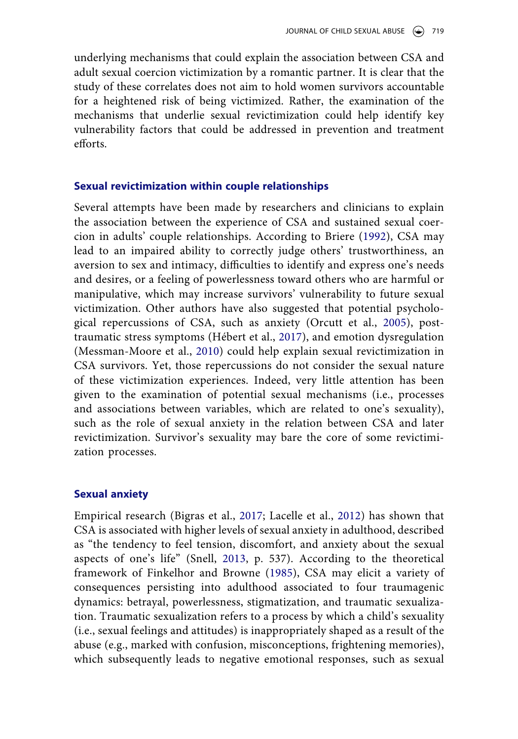underlying mechanisms that could explain the association between CSA and adult sexual coercion victimization by a romantic partner. It is clear that the study of these correlates does not aim to hold women survivors accountable for a heightened risk of being victimized. Rather, the examination of the mechanisms that underlie sexual revictimization could help identify key vulnerability factors that could be addressed in prevention and treatment efforts.

# **Sexual revictimization within couple relationships**

<span id="page-3-5"></span><span id="page-3-4"></span><span id="page-3-3"></span><span id="page-3-1"></span>Several attempts have been made by researchers and clinicians to explain the association between the experience of CSA and sustained sexual coercion in adults' couple relationships. According to Briere [\(1992\)](#page-14-5), CSA may lead to an impaired ability to correctly judge others' trustworthiness, an aversion to sex and intimacy, difficulties to identify and express one's needs and desires, or a feeling of powerlessness toward others who are harmful or manipulative, which may increase survivors' vulnerability to future sexual victimization. Other authors have also suggested that potential psychological repercussions of CSA, such as anxiety (Orcutt et al., [2005](#page-17-4)), posttraumatic stress symptoms (Hébert et al., [2017\)](#page-15-6), and emotion dysregulation (Messman-Moore et al., [2010](#page-16-2)) could help explain sexual revictimization in CSA survivors. Yet, those repercussions do not consider the sexual nature of these victimization experiences. Indeed, very little attention has been given to the examination of potential sexual mechanisms (i.e., processes and associations between variables, which are related to one's sexuality), such as the role of sexual anxiety in the relation between CSA and later revictimization. Survivor's sexuality may bare the core of some revictimization processes.

# **Sexual anxiety**

<span id="page-3-6"></span><span id="page-3-2"></span><span id="page-3-0"></span>Empirical research (Bigras et al., [2017](#page-14-6); Lacelle et al., [2012](#page-16-3)) has shown that CSA is associated with higher levels of sexual anxiety in adulthood, described as "the tendency to feel tension, discomfort, and anxiety about the sexual aspects of one's life" (Snell, [2013](#page-17-5), p. 537). According to the theoretical framework of Finkelhor and Browne [\(1985\)](#page-15-7), CSA may elicit a variety of consequences persisting into adulthood associated to four traumagenic dynamics: betrayal, powerlessness, stigmatization, and traumatic sexualization. Traumatic sexualization refers to a process by which a child's sexuality (i.e., sexual feelings and attitudes) is inappropriately shaped as a result of the abuse (e.g., marked with confusion, misconceptions, frightening memories), which subsequently leads to negative emotional responses, such as sexual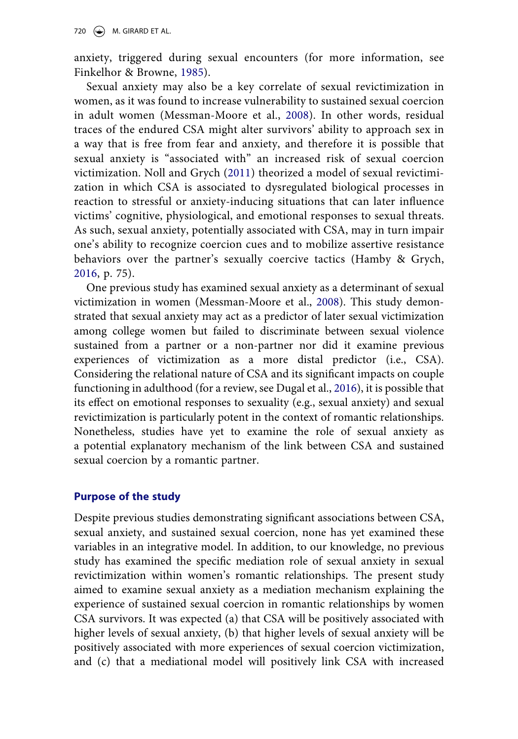anxiety, triggered during sexual encounters (for more information, see Finkelhor & Browne, [1985](#page-15-7)).

<span id="page-4-2"></span>Sexual anxiety may also be a key correlate of sexual revictimization in women, as it was found to increase vulnerability to sustained sexual coercion in adult women (Messman-Moore et al., [2008\)](#page-16-4). In other words, residual traces of the endured CSA might alter survivors' ability to approach sex in a way that is free from fear and anxiety, and therefore it is possible that sexual anxiety is "associated with" an increased risk of sexual coercion victimization. Noll and Grych ([2011](#page-16-5)) theorized a model of sexual revictimization in which CSA is associated to dysregulated biological processes in reaction to stressful or anxiety-inducing situations that can later influence victims' cognitive, physiological, and emotional responses to sexual threats. As such, sexual anxiety, potentially associated with CSA, may in turn impair one's ability to recognize coercion cues and to mobilize assertive resistance behaviors over the partner's sexually coercive tactics (Hamby & Grych, [2016,](#page-15-8) p. 75).

<span id="page-4-1"></span><span id="page-4-0"></span>One previous study has examined sexual anxiety as a determinant of sexual victimization in women (Messman-Moore et al., [2008\)](#page-16-4). This study demonstrated that sexual anxiety may act as a predictor of later sexual victimization among college women but failed to discriminate between sexual violence sustained from a partner or a non-partner nor did it examine previous experiences of victimization as a more distal predictor (i.e., CSA). Considering the relational nature of CSA and its significant impacts on couple functioning in adulthood (for a review, see Dugal et al., [2016](#page-15-2)), it is possible that its effect on emotional responses to sexuality (e.g., sexual anxiety) and sexual revictimization is particularly potent in the context of romantic relationships. Nonetheless, studies have yet to examine the role of sexual anxiety as a potential explanatory mechanism of the link between CSA and sustained sexual coercion by a romantic partner.

# **Purpose of the study**

Despite previous studies demonstrating significant associations between CSA, sexual anxiety, and sustained sexual coercion, none has yet examined these variables in an integrative model. In addition, to our knowledge, no previous study has examined the specific mediation role of sexual anxiety in sexual revictimization within women's romantic relationships. The present study aimed to examine sexual anxiety as a mediation mechanism explaining the experience of sustained sexual coercion in romantic relationships by women CSA survivors. It was expected (a) that CSA will be positively associated with higher levels of sexual anxiety, (b) that higher levels of sexual anxiety will be positively associated with more experiences of sexual coercion victimization, and (c) that a mediational model will positively link CSA with increased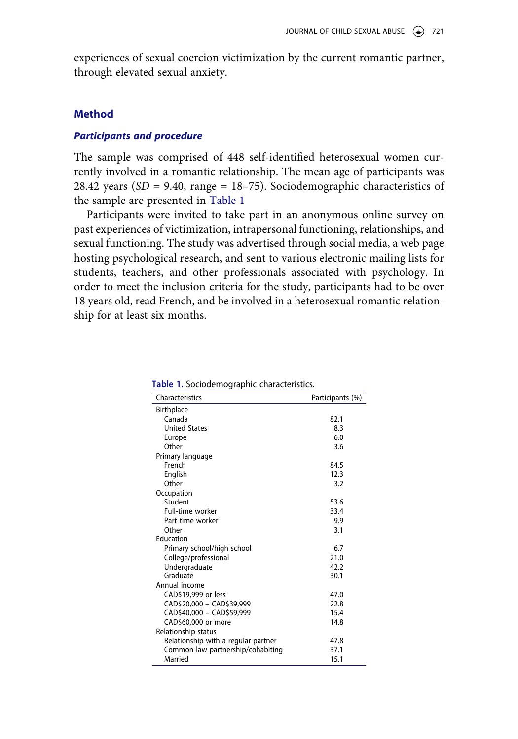experiences of sexual coercion victimization by the current romantic partner, through elevated sexual anxiety.

# **Method**

#### *Participants and procedure*

The sample was comprised of 448 self-identified heterosexual women currently involved in a romantic relationship. The mean age of participants was 28.42 years (*SD* = 9.40, range = 18–75). Sociodemographic characteristics of the sample are presented in [Table 1](#page-5-0)

Participants were invited to take part in an anonymous online survey on past experiences of victimization, intrapersonal functioning, relationships, and sexual functioning. The study was advertised through social media, a web page hosting psychological research, and sent to various electronic mailing lists for students, teachers, and other professionals associated with psychology. In order to meet the inclusion criteria for the study, participants had to be over 18 years old, read French, and be involved in a heterosexual romantic relationship for at least six months.

| Characteristics                     | Participants (%) |
|-------------------------------------|------------------|
| Birthplace                          |                  |
| Canada                              | 82.1             |
| <b>United States</b>                | 8.3              |
| Europe                              | 6.0              |
| Other                               | 3.6              |
| Primary language                    |                  |
| French                              | 84.5             |
| English                             | 12.3             |
| Other                               | 3.2              |
| Occupation                          |                  |
| Student                             | 53.6             |
| Full-time worker                    | 33.4             |
| Part-time worker                    | 9.9              |
| Other                               | 3.1              |
| Education                           |                  |
| Primary school/high school          | 6.7              |
| College/professional                | 21.0             |
| Undergraduate                       | 42.2             |
| Graduate                            | 30.1             |
| Annual income                       |                  |
| CAD\$19,999 or less                 | 47.0             |
| CAD\$20,000 - CAD\$39,999           | 22.8             |
| CAD\$40,000 - CAD\$59,999           | 15.4             |
| CAD\$60,000 or more                 | 14.8             |
| Relationship status                 |                  |
| Relationship with a regular partner | 47.8             |
| Common-law partnership/cohabiting   | 37.1             |
| Married                             | 15.1             |

<span id="page-5-0"></span>**Table 1.** Sociodemographic characteristics.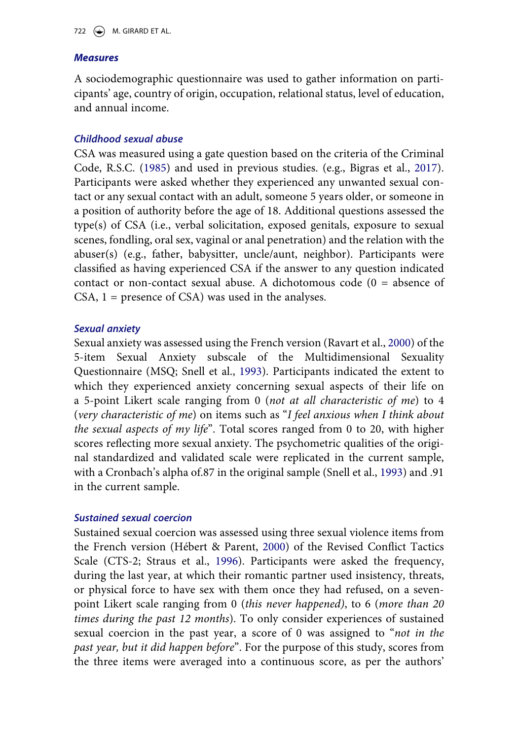# *Measures*

A sociodemographic questionnaire was used to gather information on participants' age, country of origin, occupation, relational status, level of education, and annual income.

# *Childhood sexual abuse*

<span id="page-6-0"></span>CSA was measured using a gate question based on the criteria of the Criminal Code, R.S.C. ([1985\)](#page-15-9) and used in previous studies. (e.g., Bigras et al., [2017](#page-14-6)). Participants were asked whether they experienced any unwanted sexual contact or any sexual contact with an adult, someone 5 years older, or someone in a position of authority before the age of 18. Additional questions assessed the type(s) of CSA (i.e., verbal solicitation, exposed genitals, exposure to sexual scenes, fondling, oral sex, vaginal or anal penetration) and the relation with the abuser(s) (e.g., father, babysitter, uncle/aunt, neighbor). Participants were classified as having experienced CSA if the answer to any question indicated contact or non-contact sexual abuse. A dichotomous code  $(0 = \text{absence of})$  $CSA$ ,  $1 =$  presence of  $CSA$ ) was used in the analyses.

# *Sexual anxiety*

<span id="page-6-2"></span>Sexual anxiety was assessed using the French version (Ravart et al., [2000\)](#page-17-6) of the 5-item Sexual Anxiety subscale of the Multidimensional Sexuality Questionnaire (MSQ; Snell et al., [1993\)](#page-17-7). Participants indicated the extent to which they experienced anxiety concerning sexual aspects of their life on a 5-point Likert scale ranging from 0 (*not at all characteristic of me*) to 4 (*very characteristic of me*) on items such as "*I feel anxious when I think about the sexual aspects of my life*". Total scores ranged from 0 to 20, with higher scores reflecting more sexual anxiety. The psychometric qualities of the original standardized and validated scale were replicated in the current sample, with a Cronbach's alpha of.87 in the original sample (Snell et al., [1993\)](#page-17-7) and .91 in the current sample.

# <span id="page-6-3"></span>*Sustained sexual coercion*

<span id="page-6-1"></span>Sustained sexual coercion was assessed using three sexual violence items from the French version (Hébert & Parent, [2000\)](#page-15-10) of the Revised Conflict Tactics Scale (CTS-2; Straus et al., [1996](#page-17-3)). Participants were asked the frequency, during the last year, at which their romantic partner used insistency, threats, or physical force to have sex with them once they had refused, on a sevenpoint Likert scale ranging from 0 (*this never happened)*, to 6 (*more than 20 times during the past 12 months*). To only consider experiences of sustained sexual coercion in the past year, a score of 0 was assigned to "*not in the past year, but it did happen before*". For the purpose of this study, scores from the three items were averaged into a continuous score, as per the authors'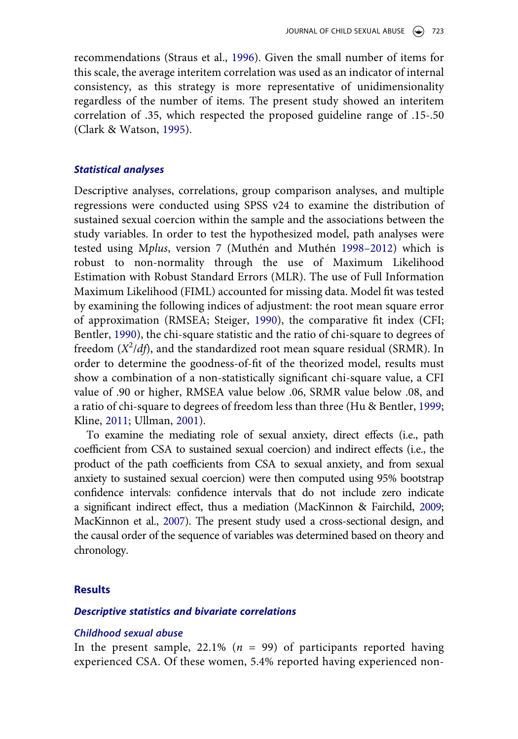recommendations (Straus et al., [1996](#page-17-3)). Given the small number of items for this scale, the average interitem correlation was used as an indicator of internal consistency, as this strategy is more representative of unidimensionality regardless of the number of items. The present study showed an interitem correlation of .35, which respected the proposed guideline range of .15-.50 (Clark & Watson, [1995](#page-15-11)).

#### <span id="page-7-1"></span>*Statistical analyses*

<span id="page-7-6"></span>Descriptive analyses, correlations, group comparison analyses, and multiple regressions were conducted using SPSS v24 to examine the distribution of sustained sexual coercion within the sample and the associations between the study variables. In order to test the hypothesized model, path analyses were tested using M*plus*, version 7 (Muthén and Muthén [1998–2012](#page-16-6)) which is robust to non-normality through the use of Maximum Likelihood Estimation with Robust Standard Errors (MLR). The use of Full Information Maximum Likelihood (FIML) accounted for missing data. Model fit was tested by examining the following indices of adjustment: the root mean square error of approximation (RMSEA; Steiger, [1990\)](#page-17-8), the comparative fit index (CFI; Bentler, [1990\)](#page-14-7), the chi-square statistic and the ratio of chi-square to degrees of freedom (*X<sup>2</sup>/df*), and the standardized root mean square residual (SRMR). In order to determine the goodness-of-fit of the theorized model, results must show a combination of a non-statistically significant chi-square value, a CFI value of .90 or higher, RMSEA value below .06, SRMR value below .08, and a ratio of chi-square to degrees of freedom less than three (Hu & Bentler, [1999](#page-16-7); Kline, [2011;](#page-16-8) Ullman, [2001\)](#page-17-9).

<span id="page-7-7"></span><span id="page-7-4"></span><span id="page-7-3"></span><span id="page-7-2"></span><span id="page-7-0"></span>To examine the mediating role of sexual anxiety, direct effects (i.e., path coefficient from CSA to sustained sexual coercion) and indirect effects (i.e., the product of the path coefficients from CSA to sexual anxiety, and from sexual anxiety to sustained sexual coercion) were then computed using 95% bootstrap confidence intervals: confidence intervals that do not include zero indicate a significant indirect effect, thus a mediation (MacKinnon & Fairchild, [2009](#page-16-9); MacKinnon et al., [2007\)](#page-16-10). The present study used a cross-sectional design, and the causal order of the sequence of variables was determined based on theory and chronology.

# <span id="page-7-5"></span>**Results**

#### *Descriptive statistics and bivariate correlations*

#### *Childhood sexual abuse*

In the present sample, 22.1% (*n* = 99) of participants reported having experienced CSA. Of these women, 5.4% reported having experienced non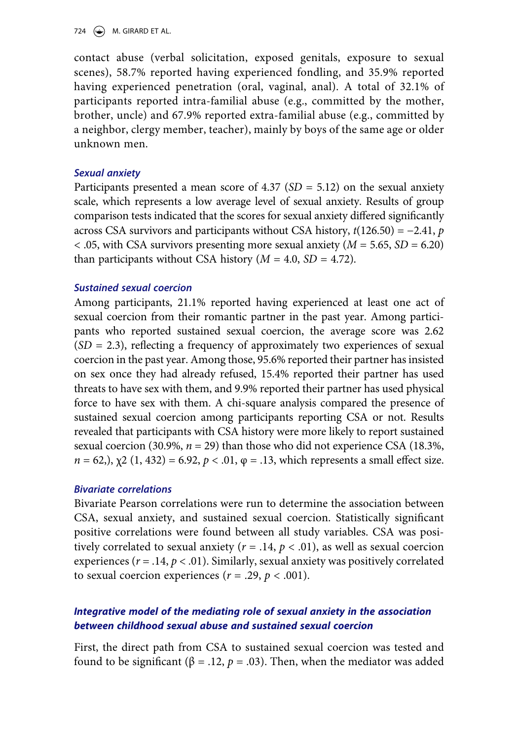724  $\left(\rightarrow\right)$  M. GIRARD ET AL.

contact abuse (verbal solicitation, exposed genitals, exposure to sexual scenes), 58.7% reported having experienced fondling, and 35.9% reported having experienced penetration (oral, vaginal, anal). A total of 32.1% of participants reported intra-familial abuse (e.g., committed by the mother, brother, uncle) and 67.9% reported extra-familial abuse (e.g., committed by a neighbor, clergy member, teacher), mainly by boys of the same age or older unknown men.

# *Sexual anxiety*

Participants presented a mean score of 4.37 (*SD* = 5.12) on the sexual anxiety scale, which represents a low average level of sexual anxiety. Results of group comparison tests indicated that the scores for sexual anxiety differed significantly across CSA survivors and participants without CSA history, *t*(126.50) = −2.41, *p*  < .05, with CSA survivors presenting more sexual anxiety (*M* = 5.65, *SD* = 6.20) than participants without CSA history  $(M = 4.0, SD = 4.72)$ .

# *Sustained sexual coercion*

Among participants, 21.1% reported having experienced at least one act of sexual coercion from their romantic partner in the past year. Among participants who reported sustained sexual coercion, the average score was 2.62 (*SD* = 2.3), reflecting a frequency of approximately two experiences of sexual coercion in the past year. Among those, 95.6% reported their partner has insisted on sex once they had already refused, 15.4% reported their partner has used threats to have sex with them, and 9.9% reported their partner has used physical force to have sex with them. A chi-square analysis compared the presence of sustained sexual coercion among participants reporting CSA or not. Results revealed that participants with CSA history were more likely to report sustained sexual coercion (30.9%,  $n = 29$ ) than those who did not experience CSA (18.3%, *n* = 62,),  $\chi$ 2 (1, 432) = 6.92,  $p < 0.01$ ,  $\varphi$  = .13, which represents a small effect size.

# *Bivariate correlations*

Bivariate Pearson correlations were run to determine the association between CSA, sexual anxiety, and sustained sexual coercion. Statistically significant positive correlations were found between all study variables. CSA was positively correlated to sexual anxiety ( $r = .14$ ,  $p < .01$ ), as well as sexual coercion experiences ( $r = .14$ ,  $p < .01$ ). Similarly, sexual anxiety was positively correlated to sexual coercion experiences  $(r = .29, p < .001)$ .

# *Integrative model of the mediating role of sexual anxiety in the association between childhood sexual abuse and sustained sexual coercion*

First, the direct path from CSA to sustained sexual coercion was tested and found to be significant (β = .12, *p* = .03). Then, when the mediator was added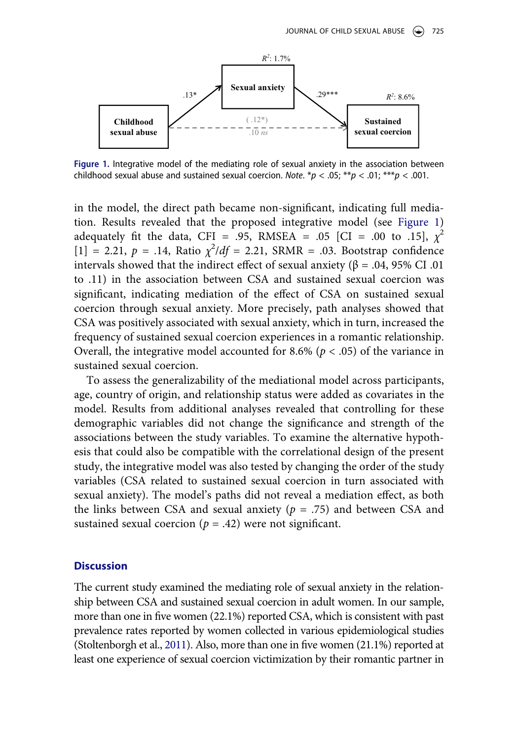<span id="page-9-0"></span>

**Figure 1.** Integrative model of the mediating role of sexual anxiety in the association between childhood sexual abuse and sustained sexual coercion. *Note*.  $* p < .05; ** p < .01; ** p < .001$ .

in the model, the direct path became non-significant, indicating full mediation. Results revealed that the proposed integrative model (see [Figure 1\)](#page-9-0) adequately fit the data, CFI = .95, RMSEA = .05 [CI = .00 to .15],  $\chi^2$  $[1] = 2.21, p = .14$ , Ratio  $\chi^2/df = 2.21$ , SRMR = .03. Bootstrap confidence intervals showed that the indirect effect of sexual anxiety (β = .04, 95% CI .01 to .11) in the association between CSA and sustained sexual coercion was significant, indicating mediation of the effect of CSA on sustained sexual coercion through sexual anxiety. More precisely, path analyses showed that CSA was positively associated with sexual anxiety, which in turn, increased the frequency of sustained sexual coercion experiences in a romantic relationship. Overall, the integrative model accounted for 8.6% ( $p < .05$ ) of the variance in sustained sexual coercion.

To assess the generalizability of the mediational model across participants, age, country of origin, and relationship status were added as covariates in the model. Results from additional analyses revealed that controlling for these demographic variables did not change the significance and strength of the associations between the study variables. To examine the alternative hypothesis that could also be compatible with the correlational design of the present study, the integrative model was also tested by changing the order of the study variables (CSA related to sustained sexual coercion in turn associated with sexual anxiety). The model's paths did not reveal a mediation effect, as both the links between CSA and sexual anxiety (*p* = .75) and between CSA and sustained sexual coercion  $(p = .42)$  were not significant.

#### **Discussion**

<span id="page-9-1"></span>The current study examined the mediating role of sexual anxiety in the relationship between CSA and sustained sexual coercion in adult women. In our sample, more than one in five women (22.1%) reported CSA, which is consistent with past prevalence rates reported by women collected in various epidemiological studies (Stoltenborgh et al., [2011](#page-17-10)). Also, more than one in five women (21.1%) reported at least one experience of sexual coercion victimization by their romantic partner in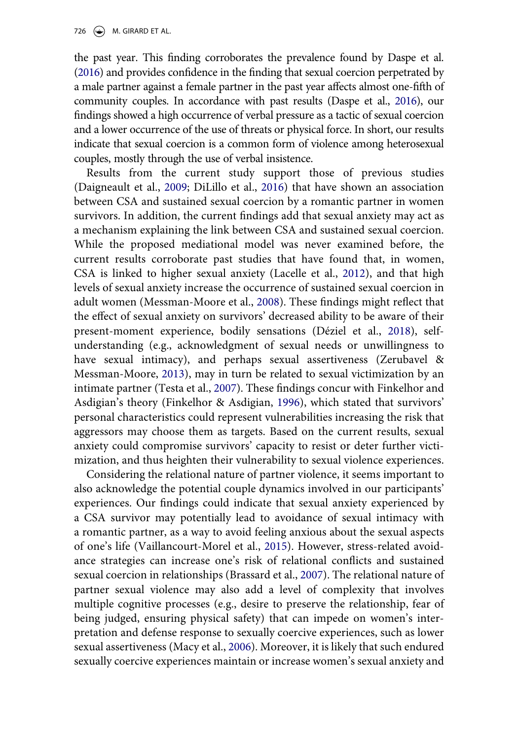the past year. This finding corroborates the prevalence found by Daspe et al. ([2016\)](#page-15-1) and provides confidence in the finding that sexual coercion perpetrated by a male partner against a female partner in the past year affects almost one-fifth of community couples. In accordance with past results (Daspe et al., [2016](#page-15-1)), our findings showed a high occurrence of verbal pressure as a tactic of sexual coercion and a lower occurrence of the use of threats or physical force. In short, our results indicate that sexual coercion is a common form of violence among heterosexual couples, mostly through the use of verbal insistence.

Results from the current study support those of previous studies (Daigneault et al., [2009;](#page-15-4) DiLillo et al., [2016](#page-15-5)) that have shown an association between CSA and sustained sexual coercion by a romantic partner in women survivors. In addition, the current findings add that sexual anxiety may act as a mechanism explaining the link between CSA and sustained sexual coercion. While the proposed mediational model was never examined before, the current results corroborate past studies that have found that, in women, CSA is linked to higher sexual anxiety (Lacelle et al., [2012](#page-16-3)), and that high levels of sexual anxiety increase the occurrence of sustained sexual coercion in adult women (Messman-Moore et al., [2008\)](#page-16-4). These findings might reflect that the effect of sexual anxiety on survivors' decreased ability to be aware of their present-moment experience, bodily sensations (Déziel et al., [2018\)](#page-15-12), selfunderstanding (e.g., acknowledgment of sexual needs or unwillingness to have sexual intimacy), and perhaps sexual assertiveness (Zerubavel & Messman-Moore, [2013\)](#page-17-11), may in turn be related to sexual victimization by an intimate partner (Testa et al., [2007](#page-17-12)). These findings concur with Finkelhor and Asdigian's theory (Finkelhor & Asdigian, [1996\)](#page-15-13), which stated that survivors' personal characteristics could represent vulnerabilities increasing the risk that aggressors may choose them as targets. Based on the current results, sexual anxiety could compromise survivors' capacity to resist or deter further victimization, and thus heighten their vulnerability to sexual violence experiences.

<span id="page-10-6"></span><span id="page-10-5"></span><span id="page-10-4"></span><span id="page-10-3"></span><span id="page-10-2"></span><span id="page-10-1"></span><span id="page-10-0"></span>Considering the relational nature of partner violence, it seems important to also acknowledge the potential couple dynamics involved in our participants' experiences. Our findings could indicate that sexual anxiety experienced by a CSA survivor may potentially lead to avoidance of sexual intimacy with a romantic partner, as a way to avoid feeling anxious about the sexual aspects of one's life (Vaillancourt-Morel et al., [2015](#page-17-13)). However, stress-related avoidance strategies can increase one's risk of relational conflicts and sustained sexual coercion in relationships (Brassard et al., [2007](#page-14-8)). The relational nature of partner sexual violence may also add a level of complexity that involves multiple cognitive processes (e.g., desire to preserve the relationship, fear of being judged, ensuring physical safety) that can impede on women's interpretation and defense response to sexually coercive experiences, such as lower sexual assertiveness (Macy et al., [2006](#page-16-11)). Moreover, it is likely that such endured sexually coercive experiences maintain or increase women's sexual anxiety and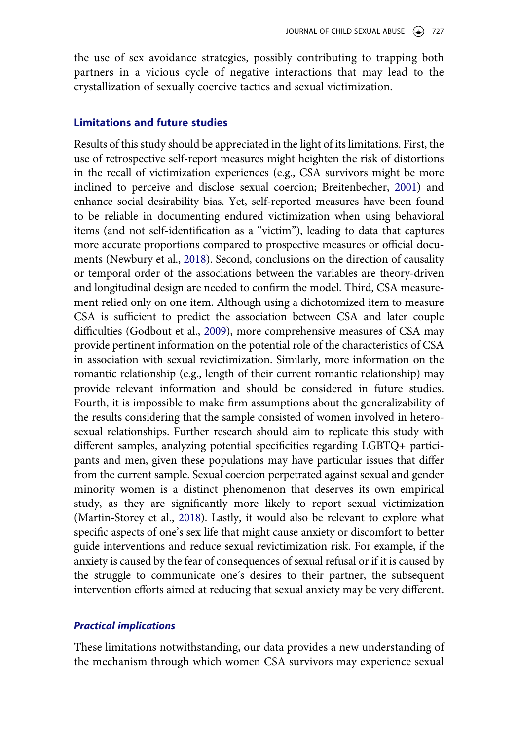the use of sex avoidance strategies, possibly contributing to trapping both partners in a vicious cycle of negative interactions that may lead to the crystallization of sexually coercive tactics and sexual victimization.

## **Limitations and future studies**

<span id="page-11-3"></span><span id="page-11-1"></span><span id="page-11-0"></span>Results of this study should be appreciated in the light of its limitations. First, the use of retrospective self-report measures might heighten the risk of distortions in the recall of victimization experiences (e.g., CSA survivors might be more inclined to perceive and disclose sexual coercion; Breitenbecher, [2001\)](#page-14-9) and enhance social desirability bias. Yet, self-reported measures have been found to be reliable in documenting endured victimization when using behavioral items (and not self-identification as a "victim"), leading to data that captures more accurate proportions compared to prospective measures or official documents (Newbury et al., [2018](#page-16-12)). Second, conclusions on the direction of causality or temporal order of the associations between the variables are theory-driven and longitudinal design are needed to confirm the model. Third, CSA measurement relied only on one item. Although using a dichotomized item to measure CSA is sufficient to predict the association between CSA and later couple difficulties (Godbout et al., [2009](#page-15-14)), more comprehensive measures of CSA may provide pertinent information on the potential role of the characteristics of CSA in association with sexual revictimization. Similarly, more information on the romantic relationship (e.g., length of their current romantic relationship) may provide relevant information and should be considered in future studies. Fourth, it is impossible to make firm assumptions about the generalizability of the results considering that the sample consisted of women involved in heterosexual relationships. Further research should aim to replicate this study with different samples, analyzing potential specificities regarding LGBTQ+ participants and men, given these populations may have particular issues that differ from the current sample. Sexual coercion perpetrated against sexual and gender minority women is a distinct phenomenon that deserves its own empirical study, as they are significantly more likely to report sexual victimization (Martin-Storey et al., [2018](#page-16-13)). Lastly, it would also be relevant to explore what specific aspects of one's sex life that might cause anxiety or discomfort to better guide interventions and reduce sexual revictimization risk. For example, if the anxiety is caused by the fear of consequences of sexual refusal or if it is caused by the struggle to communicate one's desires to their partner, the subsequent intervention efforts aimed at reducing that sexual anxiety may be very different.

#### <span id="page-11-2"></span>*Practical implications*

These limitations notwithstanding, our data provides a new understanding of the mechanism through which women CSA survivors may experience sexual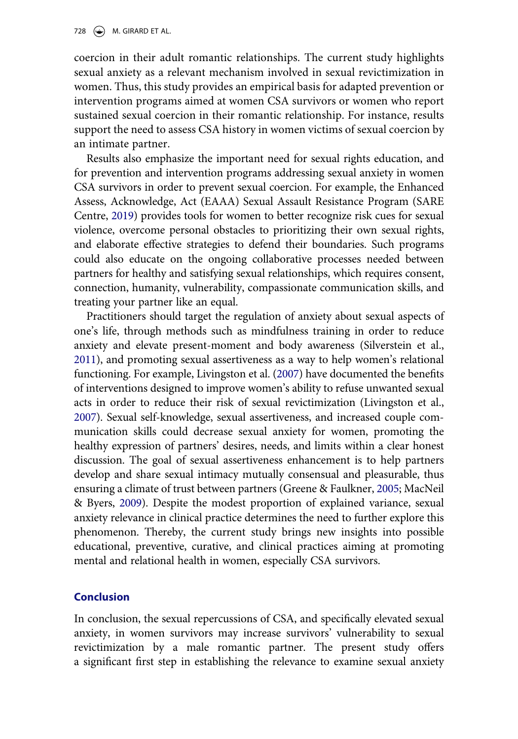coercion in their adult romantic relationships. The current study highlights sexual anxiety as a relevant mechanism involved in sexual revictimization in women. Thus, this study provides an empirical basis for adapted prevention or intervention programs aimed at women CSA survivors or women who report sustained sexual coercion in their romantic relationship. For instance, results support the need to assess CSA history in women victims of sexual coercion by an intimate partner.

<span id="page-12-3"></span>Results also emphasize the important need for sexual rights education, and for prevention and intervention programs addressing sexual anxiety in women CSA survivors in order to prevent sexual coercion. For example, the Enhanced Assess, Acknowledge, Act (EAAA) Sexual Assault Resistance Program (SARE Centre, [2019](#page-17-14)) provides tools for women to better recognize risk cues for sexual violence, overcome personal obstacles to prioritizing their own sexual rights, and elaborate effective strategies to defend their boundaries. Such programs could also educate on the ongoing collaborative processes needed between partners for healthy and satisfying sexual relationships, which requires consent, connection, humanity, vulnerability, compassionate communication skills, and treating your partner like an equal.

<span id="page-12-4"></span><span id="page-12-1"></span>Practitioners should target the regulation of anxiety about sexual aspects of one's life, through methods such as mindfulness training in order to reduce anxiety and elevate present-moment and body awareness (Silverstein et al., [2011\)](#page-17-15), and promoting sexual assertiveness as a way to help women's relational functioning. For example, Livingston et al. [\(2007\)](#page-16-14) have documented the benefits of interventions designed to improve women's ability to refuse unwanted sexual acts in order to reduce their risk of sexual revictimization (Livingston et al., [2007\)](#page-16-14). Sexual self-knowledge, sexual assertiveness, and increased couple communication skills could decrease sexual anxiety for women, promoting the healthy expression of partners' desires, needs, and limits within a clear honest discussion. The goal of sexual assertiveness enhancement is to help partners develop and share sexual intimacy mutually consensual and pleasurable, thus ensuring a climate of trust between partners (Greene & Faulkner, [2005](#page-15-15); MacNeil & Byers, [2009\)](#page-16-15). Despite the modest proportion of explained variance, sexual anxiety relevance in clinical practice determines the need to further explore this phenomenon. Thereby, the current study brings new insights into possible educational, preventive, curative, and clinical practices aiming at promoting mental and relational health in women, especially CSA survivors.

# <span id="page-12-2"></span><span id="page-12-0"></span>**Conclusion**

In conclusion, the sexual repercussions of CSA, and specifically elevated sexual anxiety, in women survivors may increase survivors' vulnerability to sexual revictimization by a male romantic partner. The present study offers a significant first step in establishing the relevance to examine sexual anxiety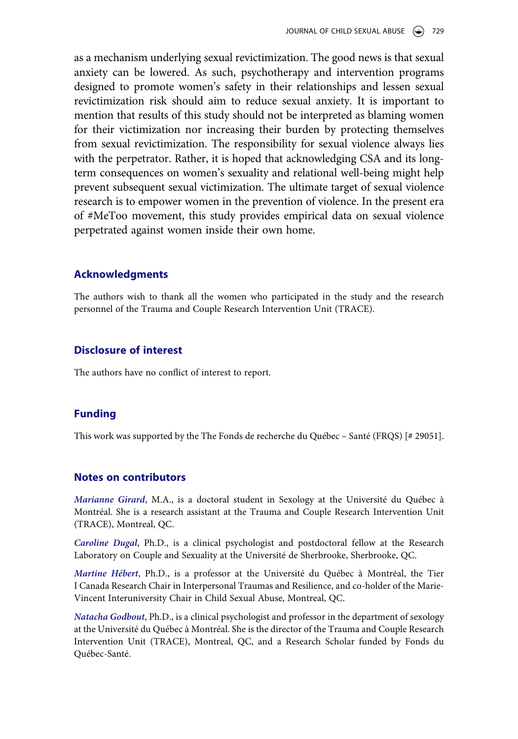as a mechanism underlying sexual revictimization. The good news is that sexual anxiety can be lowered. As such, psychotherapy and intervention programs designed to promote women's safety in their relationships and lessen sexual revictimization risk should aim to reduce sexual anxiety. It is important to mention that results of this study should not be interpreted as blaming women for their victimization nor increasing their burden by protecting themselves from sexual revictimization. The responsibility for sexual violence always lies with the perpetrator. Rather, it is hoped that acknowledging CSA and its longterm consequences on women's sexuality and relational well-being might help prevent subsequent sexual victimization. The ultimate target of sexual violence research is to empower women in the prevention of violence. In the present era of #MeToo movement, this study provides empirical data on sexual violence perpetrated against women inside their own home.

#### **Acknowledgments**

The authors wish to thank all the women who participated in the study and the research personnel of the Trauma and Couple Research Intervention Unit (TRACE).

# **Disclosure of interest**

The authors have no conflict of interest to report.

# **Funding**

This work was supported by the The Fonds de recherche du Québec – Santé (FRQS) [# 29051].

# **Notes on contributors**

*Marianne Girard*, M.A., is a doctoral student in Sexology at the Université du Québec à Montréal. She is a research assistant at the Trauma and Couple Research Intervention Unit (TRACE), Montreal, QC.

*Caroline Dugal*, Ph.D., is a clinical psychologist and postdoctoral fellow at the Research Laboratory on Couple and Sexuality at the Université de Sherbrooke, Sherbrooke, QC.

*Martine Hébert*, Ph.D., is a professor at the Université du Québec à Montréal, the Tier I Canada Research Chair in Interpersonal Traumas and Resilience, and co-holder of the Marie-Vincent Interuniversity Chair in Child Sexual Abuse, Montreal, QC.

*Natacha Godbout*, Ph.D., is a clinical psychologist and professor in the department of sexology at the Université du Québec à Montréal. She is the director of the Trauma and Couple Research Intervention Unit (TRACE), Montreal, QC, and a Research Scholar funded by Fonds du Québec-Santé.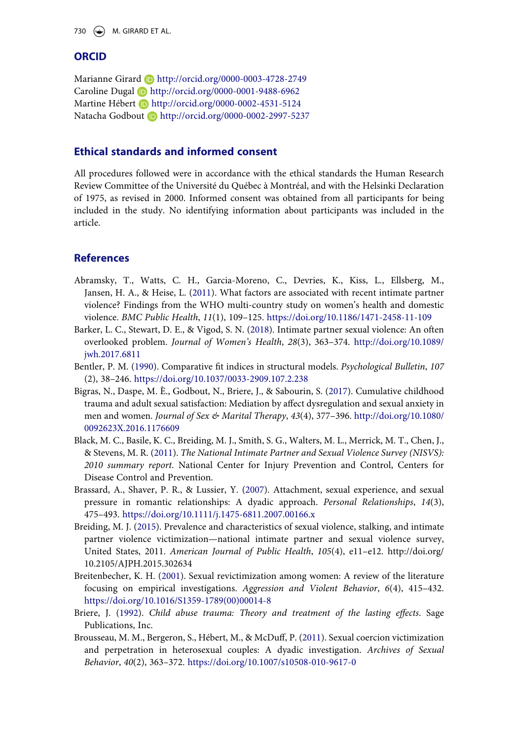730  $\left(\rightarrow\right)$  M. GIRARD ET AL.

# **ORCID**

Marianne Girard **b** http://orcid.org/0000-0003-4728-2749 Caroline Dugal **b** http://orcid.org/0000-0001-9488-6962 Martine Hébert **b** http://orcid.org/0000-0002-4531-5124 Natacha Godbout **b** http://orcid.org/0000-0002-2997-5237

# **Ethical standards and informed consent**

All procedures followed were in accordance with the ethical standards the Human Research Review Committee of the Université du Québec à Montréal, and with the Helsinki Declaration of 1975, as revised in 2000. Informed consent was obtained from all participants for being included in the study. No identifying information about participants was included in the article.

# **References**

- <span id="page-14-4"></span>Abramsky, T., Watts, C. H., Garcia-Moreno, C., Devries, K., Kiss, L., Ellsberg, M., Jansen, H. A., & Heise, L. [\(2011\)](#page-2-0). What factors are associated with recent intimate partner violence? Findings from the WHO multi-country study on women's health and domestic violence. *BMC Public Health*, *11*(1), 109–125. <https://doi.org/10.1186/1471-2458-11-109>
- <span id="page-14-0"></span>Barker, L. C., Stewart, D. E., & Vigod, S. N. ([2018\)](#page-1-1). Intimate partner sexual violence: An often overlooked problem. *Journal of Women's Health*, *28*(3), 363–374. [http://doi.org/10.1089/](http://doi.org/10.1089/jwh.2017.6811)  [jwh.2017.6811](http://doi.org/10.1089/jwh.2017.6811)
- <span id="page-14-7"></span>Bentler, P. M. [\(1990](#page-7-0)). Comparative fit indices in structural models. *Psychological Bulletin*, *107*  (2), 38–246. <https://doi.org/10.1037/0033-2909.107.2.238>
- <span id="page-14-6"></span>Bigras, N., Daspe, M. È., Godbout, N., Briere, J., & Sabourin, S. ([2017](#page-3-0)). Cumulative childhood trauma and adult sexual satisfaction: Mediation by affect dysregulation and sexual anxiety in men and women. *Journal of Sex & Marital Therapy*, *43*(4), 377–396. [http://doi.org/10.1080/](http://doi.org/10.1080/0092623X.2016.1176609) [0092623X.2016.1176609](http://doi.org/10.1080/0092623X.2016.1176609)
- <span id="page-14-1"></span>Black, M. C., Basile, K. C., Breiding, M. J., Smith, S. G., Walters, M. L., Merrick, M. T., Chen, J., & Stevens, M. R. ([2011](#page-1-2)). *The National Intimate Partner and Sexual Violence Survey (NISVS): 2010 summary report*. National Center for Injury Prevention and Control, Centers for Disease Control and Prevention.
- <span id="page-14-8"></span>Brassard, A., Shaver, P. R., & Lussier, Y. ([2007\)](#page-10-0). Attachment, sexual experience, and sexual pressure in romantic relationships: A dyadic approach. *Personal Relationships*, *14*(3), 475–493. <https://doi.org/10.1111/j.1475-6811.2007.00166.x>
- <span id="page-14-2"></span>Breiding, M. J. [\(2015\)](#page-1-3). Prevalence and characteristics of sexual violence, stalking, and intimate partner violence victimization—national intimate partner and sexual violence survey, United States, 2011. *American Journal of Public Health*, *105*(4), e11–e12. http://doi.org/ 10.2105/AJPH.2015.302634
- <span id="page-14-9"></span>Breitenbecher, K. H. [\(2001](#page-11-0)). Sexual revictimization among women: A review of the literature focusing on empirical investigations. *Aggression and Violent Behavior*, *6*(4), 415–432. [https://doi.org/10.1016/S1359-1789\(00\)00014-8](https://doi.org/10.1016/S1359-1789(00)00014-8)
- <span id="page-14-5"></span>Briere, J. [\(1992](#page-3-1)). *Child abuse trauma: Theory and treatment of the lasting effects*. Sage Publications, Inc.
- <span id="page-14-3"></span>Brousseau, M. M., Bergeron, S., Hébert, M., & McDuff, P. [\(2011](#page-2-1)). Sexual coercion victimization and perpetration in heterosexual couples: A dyadic investigation. *Archives of Sexual Behavior*, *40*(2), 363–372. <https://doi.org/10.1007/s10508-010-9617-0>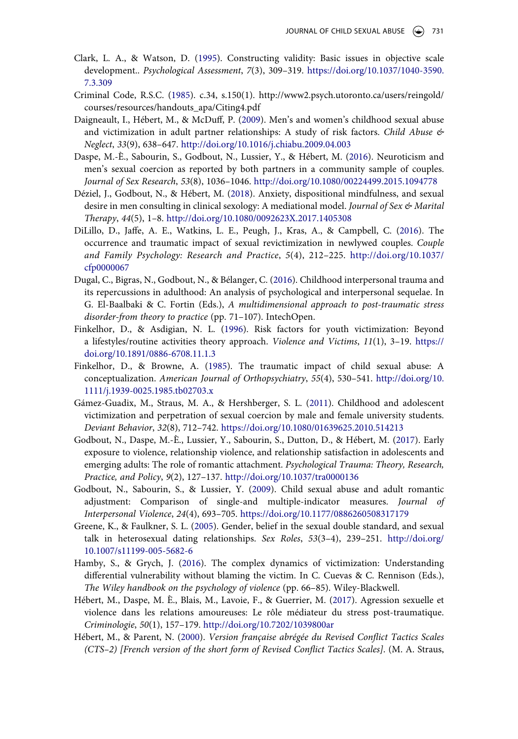- <span id="page-15-11"></span>Clark, L. A., & Watson, D. ([1995\)](#page-7-1). Constructing validity: Basic issues in objective scale development.. *Psychological Assessment*, *7*(3), 309–319. [https://doi.org/10.1037/1040-3590.](https://doi.org/10.1037/1040-3590.7.3.309) [7.3.309](https://doi.org/10.1037/1040-3590.7.3.309)
- <span id="page-15-9"></span>Criminal Code, R.S.C. ([1985\)](#page-6-0). c.34, s.150(1). http://www2.psych.utoronto.ca/users/reingold/ courses/resources/handouts\_apa/Citing4.pdf
- <span id="page-15-4"></span>Daigneault, I., Hébert, M., & McDuff, P. [\(2009](#page-2-2)). Men's and women's childhood sexual abuse and victimization in adult partner relationships: A study of risk factors. *Child Abuse & Neglect*, *33*(9), 638–647. <http://doi.org/10.1016/j.chiabu.2009.04.003>
- <span id="page-15-1"></span>Daspe, M.-È., Sabourin, S., Godbout, N., Lussier, Y., & Hébert, M. ([2016\)](#page-2-3). Neuroticism and men's sexual coercion as reported by both partners in a community sample of couples. *Journal of Sex Research*, *53*(8), 1036–1046. <http://doi.org/10.1080/00224499.2015.1094778>
- <span id="page-15-12"></span>Déziel, J., Godbout, N., & Hébert, M. ([2018\)](#page-10-1). Anxiety, dispositional mindfulness, and sexual desire in men consulting in clinical sexology: A mediational model. *Journal of Sex & Marital Therapy*, *44*(5), 1–8. <http://doi.org/10.1080/0092623X.2017.1405308>
- <span id="page-15-5"></span>DiLillo, D., Jaffe, A. E., Watkins, L. E., Peugh, J., Kras, A., & Campbell, C. ([2016](#page-2-4)). The occurrence and traumatic impact of sexual revictimization in newlywed couples. *Couple and Family Psychology: Research and Practice*, *5*(4), 212–225. [http://doi.org/10.1037/](http://doi.org/10.1037/cfp0000067) [cfp0000067](http://doi.org/10.1037/cfp0000067)
- <span id="page-15-2"></span>Dugal, C., Bigras, N., Godbout, N., & Bélanger, C. ([2016](#page-2-5)). Childhood interpersonal trauma and its repercussions in adulthood: An analysis of psychological and interpersonal sequelae. In G. El-Baalbaki & C. Fortin (Eds.), *A multidimensional approach to post-traumatic stress disorder-from theory to practice* (pp. 71–107). IntechOpen.
- <span id="page-15-13"></span>Finkelhor, D., & Asdigian, N. L. [\(1996](#page-10-2)). Risk factors for youth victimization: Beyond a lifestyles/routine activities theory approach. *Violence and Victims*, *11*(1), 3–19. [https://](https://doi.org/10.1891/0886-6708.11.1.3) [doi.org/10.1891/0886-6708.11.1.3](https://doi.org/10.1891/0886-6708.11.1.3)
- <span id="page-15-7"></span>Finkelhor, D., & Browne, A. ([1985\)](#page-3-2). The traumatic impact of child sexual abuse: A conceptualization. *American Journal of Orthopsychiatry*, *55*(4), 530–541. [http://doi.org/10.](http://doi.org/10.1111/j.1939-0025.1985.tb02703.x) [1111/j.1939-0025.1985.tb02703.x](http://doi.org/10.1111/j.1939-0025.1985.tb02703.x)
- <span id="page-15-0"></span>Gámez-Guadix, M., Straus, M. A., & Hershberger, S. L. [\(2011](#page-2-6)). Childhood and adolescent victimization and perpetration of sexual coercion by male and female university students. *Deviant Behavior*, *32*(8), 712–742. <https://doi.org/10.1080/01639625.2010.514213>
- <span id="page-15-3"></span>Godbout, N., Daspe, M.-È., Lussier, Y., Sabourin, S., Dutton, D., & Hébert, M. [\(2017\)](#page-2-5). Early exposure to violence, relationship violence, and relationship satisfaction in adolescents and emerging adults: The role of romantic attachment. *Psychological Trauma: Theory, Research, Practice, and Policy*, *9*(2), 127–137. <http://doi.org/10.1037/tra0000136>
- <span id="page-15-14"></span>Godbout, N., Sabourin, S., & Lussier, Y. [\(2009\)](#page-11-1). Child sexual abuse and adult romantic adjustment: Comparison of single-and multiple-indicator measures. *Journal of Interpersonal Violence*, *24*(4), 693–705. <https://doi.org/10.1177/0886260508317179>
- <span id="page-15-15"></span>Greene, K., & Faulkner, S. L. [\(2005](#page-12-0)). Gender, belief in the sexual double standard, and sexual talk in heterosexual dating relationships. *Sex Roles*, *53*(3–4), 239–251. [http://doi.org/](https://doi.org/http://doi.org/10.1007/s11199-005-5682-6) [10.1007/s11199-005-5682-6](https://doi.org/http://doi.org/10.1007/s11199-005-5682-6)
- <span id="page-15-8"></span>Hamby, S., & Grych, J. [\(2016](#page-4-0)). The complex dynamics of victimization: Understanding differential vulnerability without blaming the victim. In C. Cuevas & C. Rennison (Eds.), *The Wiley handbook on the psychology of violence* (pp. 66–85). Wiley-Blackwell.
- <span id="page-15-6"></span>Hébert, M., Daspe, M. È., Blais, M., Lavoie, F., & Guerrier, M. ([2017\)](#page-3-3). Agression sexuelle et violence dans les relations amoureuses: Le rôle médiateur du stress post-traumatique. *Criminologie*, *50*(1), 157–179. <http://doi.org/10.7202/1039800ar>
- <span id="page-15-10"></span>Hébert, M., & Parent, N. [\(2000](#page-6-1)). *Version française abrégée du Revised Conflict Tactics Scales (CTS–2) [French version of the short form of Revised Conflict Tactics Scales]*. (M. A. Straus,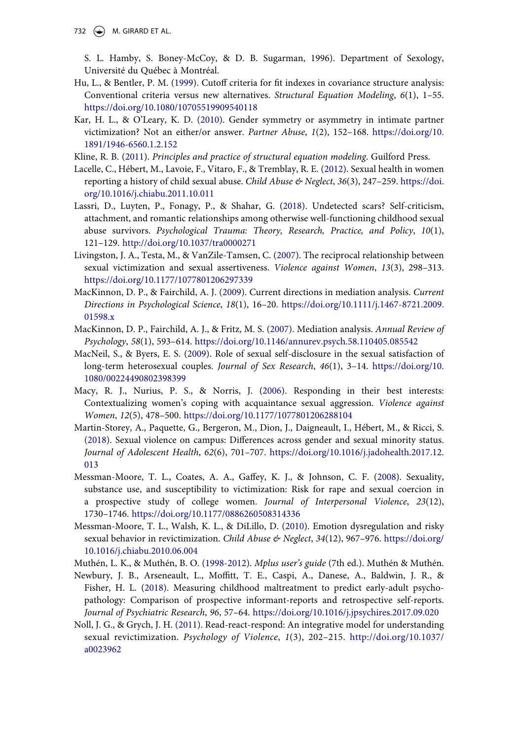732  $\leftrightarrow$  M. GIRARD ET AL.

S. L. Hamby, S. Boney-McCoy, & D. B. Sugarman, 1996). Department of Sexology, Université du Québec à Montréal.

- <span id="page-16-7"></span>Hu, L., & Bentler, P. M. ([1999](#page-7-2)). Cutoff criteria for fit indexes in covariance structure analysis: Conventional criteria versus new alternatives. *Structural Equation Modeling*, *6*(1), 1–55. <https://doi.org/10.1080/10705519909540118>
- <span id="page-16-0"></span>Kar, H. L., & O'Leary, K. D. [\(2010](#page-2-7)). Gender symmetry or asymmetry in intimate partner victimization? Not an either/or answer. *Partner Abuse*, *1*(2), 152–168. [https://doi.org/10.](https://doi.org/10.1891/1946-6560.1.2.152)  [1891/1946-6560.1.2.152](https://doi.org/10.1891/1946-6560.1.2.152)

<span id="page-16-8"></span>Kline, R. B. ([2011](#page-7-3)). *Principles and practice of structural equation modeling*. Guilford Press.

- <span id="page-16-3"></span>Lacelle, C., Hébert, M., Lavoie, F., Vitaro, F., & Tremblay, R. E. [\(2012\)](#page-3-0). Sexual health in women reporting a history of child sexual abuse. *Child Abuse & Neglect*, *36*(3), 247–259. [https://doi.](https://doi.org/10.1016/j.chiabu.2011.10.011) [org/10.1016/j.chiabu.2011.10.011](https://doi.org/10.1016/j.chiabu.2011.10.011)
- <span id="page-16-1"></span>Lassri, D., Luyten, P., Fonagy, P., & Shahar, G. [\(2018\)](#page-2-8). Undetected scars? Self-criticism, attachment, and romantic relationships among otherwise well-functioning childhood sexual abuse survivors. *Psychological Trauma: Theory, Research, Practice, and Policy*, *10*(1), 121–129. <http://doi.org/10.1037/tra0000271>
- <span id="page-16-14"></span>Livingston, J. A., Testa, M., & VanZile-Tamsen, C. [\(2007\)](#page-12-1). The reciprocal relationship between sexual victimization and sexual assertiveness. *Violence against Women*, *13*(3), 298–313. <https://doi.org/10.1177/1077801206297339>
- <span id="page-16-9"></span>MacKinnon, D. P., & Fairchild, A. J. ([2009\)](#page-7-4). Current directions in mediation analysis. *Current Directions in Psychological Science*, *18*(1), 16–20. [https://doi.org/10.1111/j.1467-8721.2009.](https://doi.org/10.1111/j.1467-8721.2009.01598.x) [01598.x](https://doi.org/10.1111/j.1467-8721.2009.01598.x)
- <span id="page-16-10"></span>MacKinnon, D. P., Fairchild, A. J., & Fritz, M. S. ([2007](#page-7-5)). Mediation analysis. *Annual Review of Psychology*, *58*(1), 593–614. <https://doi.org/10.1146/annurev.psych.58.110405.085542>
- <span id="page-16-15"></span>MacNeil, S., & Byers, E. S. [\(2009\)](#page-12-2). Role of sexual self-disclosure in the sexual satisfaction of long-term heterosexual couples. *Journal of Sex Research*, *46*(1), 3–14. [https://doi.org/10.](https://doi.org/10.1080/00224490802398399)  [1080/00224490802398399](https://doi.org/10.1080/00224490802398399)
- <span id="page-16-11"></span>Macy, R. J., Nurius, P. S., & Norris, J. ([2006\)](#page-10-3). Responding in their best interests: Contextualizing women's coping with acquaintance sexual aggression. *Violence against Women*, *12*(5), 478–500. <https://doi.org/10.1177/1077801206288104>
- <span id="page-16-13"></span>Martin-Storey, A., Paquette, G., Bergeron, M., Dion, J., Daigneault, I., Hébert, M., & Ricci, S. [\(2018\)](#page-11-2). Sexual violence on campus: Differences across gender and sexual minority status. *Journal of Adolescent Health*, *62*(6), 701–707. [https://doi.org/10.1016/j.jadohealth.2017.12.](https://doi.org/10.1016/j.jadohealth.2017.12.013)  [013](https://doi.org/10.1016/j.jadohealth.2017.12.013)
- <span id="page-16-4"></span>Messman-Moore, T. L., Coates, A. A., Gaffey, K. J., & Johnson, C. F. [\(2008](#page-4-1)). Sexuality, substance use, and susceptibility to victimization: Risk for rape and sexual coercion in a prospective study of college women. *Journal of Interpersonal Violence*, *23*(12), 1730–1746. <https://doi.org/10.1177/0886260508314336>
- <span id="page-16-2"></span>Messman-Moore, T. L., Walsh, K. L., & DiLillo, D. ([2010\)](#page-3-4). Emotion dysregulation and risky sexual behavior in revictimization. *Child Abuse & Neglect*, *34*(12), 967–976. [https://doi.org/](https://doi.org/10.1016/j.chiabu.2010.06.004)  [10.1016/j.chiabu.2010.06.004](https://doi.org/10.1016/j.chiabu.2010.06.004)
- <span id="page-16-6"></span>Muthén, L. K., & Muthén, B. O. ([1998-2012\)](#page-7-6). *Mplus user's guide* (7th ed.). Muthén & Muthén.
- <span id="page-16-12"></span>Newbury, J. B., Arseneault, L., Moffitt, T. E., Caspi, A., Danese, A., Baldwin, J. R., & Fisher, H. L. ([2018\)](#page-11-3). Measuring childhood maltreatment to predict early-adult psychopathology: Comparison of prospective informant-reports and retrospective self-reports. *Journal of Psychiatric Research*, *96*, 57–64. <https://doi.org/10.1016/j.jpsychires.2017.09.020>
- <span id="page-16-5"></span>Noll, J. G., & Grych, J. H. ([2011\)](#page-4-2). Read-react-respond: An integrative model for understanding sexual revictimization. *Psychology of Violence*, *1*(3), 202–215. [http://doi.org/10.1037/](http://doi.org/10.1037/a0023962) [a0023962](http://doi.org/10.1037/a0023962)